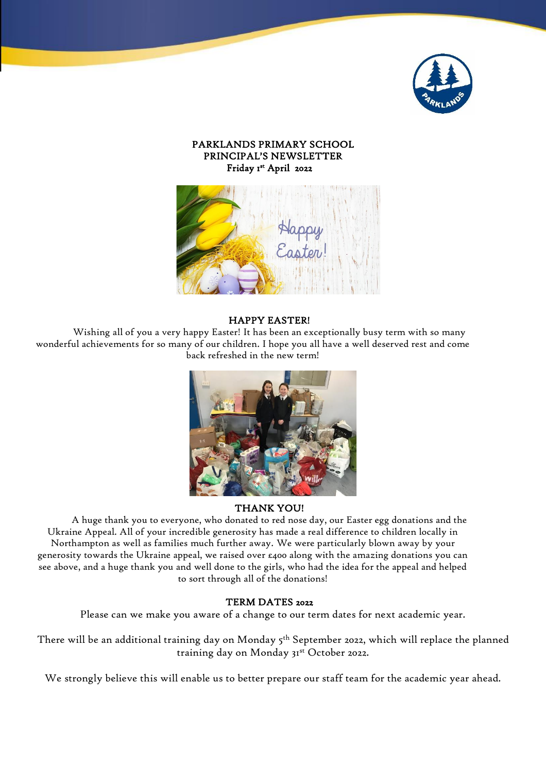

## PARKLANDS PRIMARY SCHOOL PRINCIPAL'S NEWSLETTER Friday 1st April 2022



#### HAPPY EASTER!

Wishing all of you a very happy Easter! It has been an exceptionally busy term with so many wonderful achievements for so many of our children. I hope you all have a well deserved rest and come back refreshed in the new term!



### THANK YOU!

A huge thank you to everyone, who donated to red nose day, our Easter egg donations and the Ukraine Appeal. All of your incredible generosity has made a real difference to children locally in Northampton as well as families much further away. We were particularly blown away by your generosity towards the Ukraine appeal, we raised over  $\varepsilon$ 400 along with the amazing donations you can see above, and a huge thank you and well done to the girls, who had the idea for the appeal and helped to sort through all of the donations!

#### TERM DATES 2022

Please can we make you aware of a change to our term dates for next academic year.

There will be an additional training day on Monday 5<sup>th</sup> September 2022, which will replace the planned training day on Monday 31st October 2022.

We strongly believe this will enable us to better prepare our staff team for the academic year ahead.